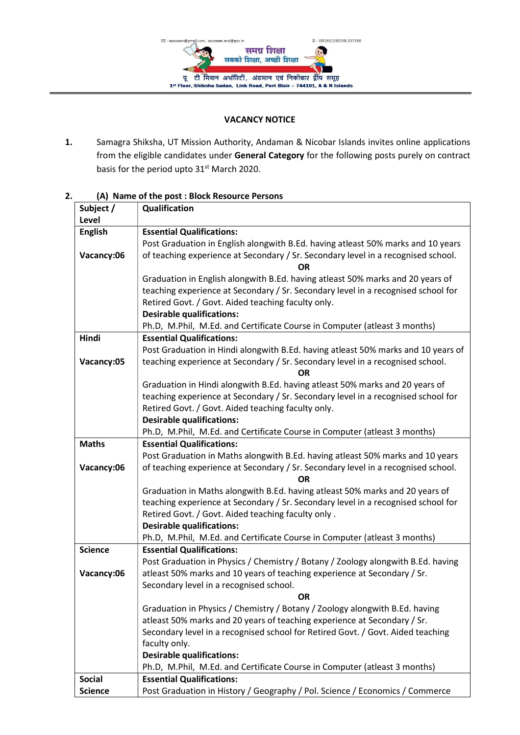

## VACANCY NOTICE

1. Samagra Shiksha, UT Mission Authority, Andaman & Nicobar Islands invites online applications from the eligible candidates under General Category for the following posts purely on contract basis for the period upto 31<sup>st</sup> March 2020.

| Subject /      | Qualification                                                                     |
|----------------|-----------------------------------------------------------------------------------|
| Level          |                                                                                   |
| <b>English</b> | <b>Essential Qualifications:</b>                                                  |
|                | Post Graduation in English alongwith B.Ed. having atleast 50% marks and 10 years  |
| Vacancy:06     | of teaching experience at Secondary / Sr. Secondary level in a recognised school. |
|                | ΟR                                                                                |
|                | Graduation in English alongwith B.Ed. having atleast 50% marks and 20 years of    |
|                | teaching experience at Secondary / Sr. Secondary level in a recognised school for |
|                | Retired Govt. / Govt. Aided teaching faculty only.                                |
|                | <b>Desirable qualifications:</b>                                                  |
|                | Ph.D, M.Phil, M.Ed. and Certificate Course in Computer (atleast 3 months)         |
| Hindi          | <b>Essential Qualifications:</b>                                                  |
|                | Post Graduation in Hindi alongwith B.Ed. having atleast 50% marks and 10 years of |
| Vacancy:05     | teaching experience at Secondary / Sr. Secondary level in a recognised school.    |
|                | ΩR                                                                                |
|                | Graduation in Hindi alongwith B.Ed. having atleast 50% marks and 20 years of      |
|                | teaching experience at Secondary / Sr. Secondary level in a recognised school for |
|                | Retired Govt. / Govt. Aided teaching faculty only.                                |
|                | <b>Desirable qualifications:</b>                                                  |
|                | Ph.D, M.Phil, M.Ed. and Certificate Course in Computer (atleast 3 months)         |
| <b>Maths</b>   | <b>Essential Qualifications:</b>                                                  |
|                | Post Graduation in Maths alongwith B.Ed. having atleast 50% marks and 10 years    |
| Vacancy:06     | of teaching experience at Secondary / Sr. Secondary level in a recognised school. |
|                | ΩR                                                                                |
|                | Graduation in Maths alongwith B.Ed. having atleast 50% marks and 20 years of      |
|                | teaching experience at Secondary / Sr. Secondary level in a recognised school for |
|                | Retired Govt. / Govt. Aided teaching faculty only.                                |
|                | <b>Desirable qualifications:</b>                                                  |
|                | Ph.D, M.Phil, M.Ed. and Certificate Course in Computer (atleast 3 months)         |
| <b>Science</b> | <b>Essential Qualifications:</b>                                                  |
|                | Post Graduation in Physics / Chemistry / Botany / Zoology alongwith B.Ed. having  |
| Vacancy:06     | atleast 50% marks and 10 years of teaching experience at Secondary / Sr.          |
|                | Secondary level in a recognised school.                                           |
|                | <b>OR</b>                                                                         |
|                | Graduation in Physics / Chemistry / Botany / Zoology alongwith B.Ed. having       |
|                | atleast 50% marks and 20 years of teaching experience at Secondary / Sr.          |
|                | Secondary level in a recognised school for Retired Govt. / Govt. Aided teaching   |
|                | faculty only.                                                                     |
|                | <b>Desirable qualifications:</b>                                                  |
|                | Ph.D, M.Phil, M.Ed. and Certificate Course in Computer (atleast 3 months)         |
| <b>Social</b>  | <b>Essential Qualifications:</b>                                                  |
| <b>Science</b> | Post Graduation in History / Geography / Pol. Science / Economics / Commerce      |

## 2. (A) Name of the post : Block Resource Persons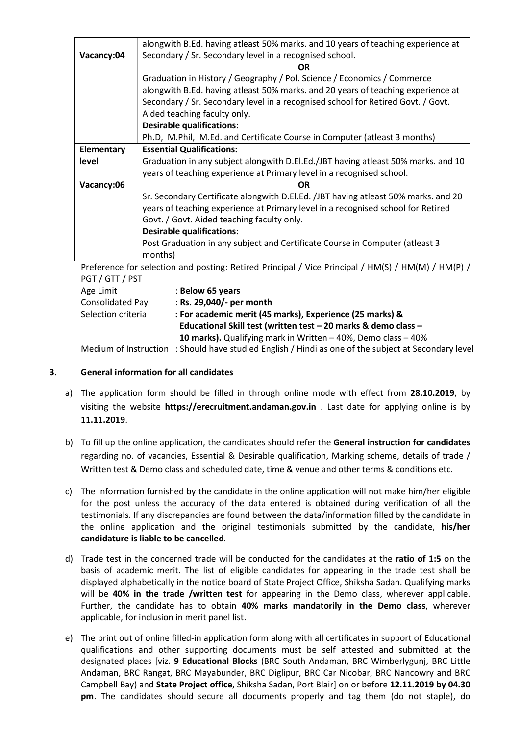|            | alongwith B.Ed. having atleast 50% marks. and 10 years of teaching experience at                             |  |
|------------|--------------------------------------------------------------------------------------------------------------|--|
| Vacancy:04 | Secondary / Sr. Secondary level in a recognised school.                                                      |  |
|            | OR                                                                                                           |  |
|            | Graduation in History / Geography / Pol. Science / Economics / Commerce                                      |  |
|            | alongwith B.Ed. having atleast 50% marks. and 20 years of teaching experience at                             |  |
|            | Secondary / Sr. Secondary level in a recognised school for Retired Govt. / Govt.                             |  |
|            | Aided teaching faculty only.                                                                                 |  |
|            | <b>Desirable qualifications:</b>                                                                             |  |
|            | Ph.D, M.Phil, M.Ed. and Certificate Course in Computer (atleast 3 months)                                    |  |
| Elementary | <b>Essential Qualifications:</b>                                                                             |  |
| level      | Graduation in any subject alongwith D.El.Ed./JBT having atleast 50% marks. and 10                            |  |
|            | years of teaching experience at Primary level in a recognised school.                                        |  |
| Vacancy:06 | OR.                                                                                                          |  |
|            | Sr. Secondary Certificate alongwith D.El.Ed. /JBT having atleast 50% marks. and 20                           |  |
|            | years of teaching experience at Primary level in a recognised school for Retired                             |  |
|            | Govt. / Govt. Aided teaching faculty only.                                                                   |  |
|            | <b>Desirable qualifications:</b>                                                                             |  |
|            | Post Graduation in any subject and Certificate Course in Computer (atleast 3                                 |  |
|            | months)                                                                                                      |  |
|            | $Drafarance for collection and notation.  \nPatirad Principal / Vica Principal / HMR(S) / HMR(M) / HMR(D) /$ |  |

Preference for selection and posting: Retired Principal / Vice Principal / HM(S) / HM(M) / HM(P) / PGT / GTT / PST

Medium of Instruction : Should have studied English / Hindi as one of the subject at Secondary level

## 3. General information for all candidates

- a) The application form should be filled in through online mode with effect from 28.10.2019, by visiting the website https://erecruitment.andaman.gov.in . Last date for applying online is by 11.11.2019.
- b) To fill up the online application, the candidates should refer the General instruction for candidates regarding no. of vacancies, Essential & Desirable qualification, Marking scheme, details of trade / Written test & Demo class and scheduled date, time & venue and other terms & conditions etc.
- c) The information furnished by the candidate in the online application will not make him/her eligible for the post unless the accuracy of the data entered is obtained during verification of all the testimonials. If any discrepancies are found between the data/information filled by the candidate in the online application and the original testimonials submitted by the candidate, his/her candidature is liable to be cancelled.
- d) Trade test in the concerned trade will be conducted for the candidates at the ratio of 1:5 on the basis of academic merit. The list of eligible candidates for appearing in the trade test shall be displayed alphabetically in the notice board of State Project Office, Shiksha Sadan. Qualifying marks will be 40% in the trade /written test for appearing in the Demo class, wherever applicable. Further, the candidate has to obtain 40% marks mandatorily in the Demo class, wherever applicable, for inclusion in merit panel list.
- e) The print out of online filled-in application form along with all certificates in support of Educational qualifications and other supporting documents must be self attested and submitted at the designated places [viz. 9 Educational Blocks (BRC South Andaman, BRC Wimberlygunj, BRC Little Andaman, BRC Rangat, BRC Mayabunder, BRC Diglipur, BRC Car Nicobar, BRC Nancowry and BRC Campbell Bay) and State Project office, Shiksha Sadan, Port Blair] on or before 12.11.2019 by 04.30 pm. The candidates should secure all documents properly and tag them (do not staple), do